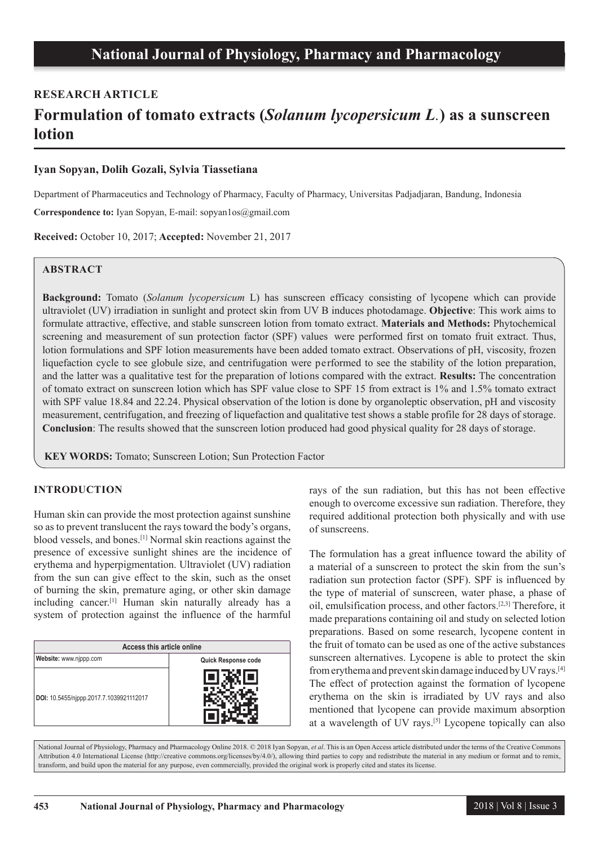# **RESEARCH ARTICLE**

# **Formulation of tomato extracts (***Solanum lycopersicum L.***) as a sunscreen lotion**

## **Iyan Sopyan, Dolih Gozali, Sylvia Tiassetiana**

Department of Pharmaceutics and Technology of Pharmacy, Faculty of Pharmacy, Universitas Padjadjaran, Bandung, Indonesia

**Correspondence to:** Iyan Sopyan, E-mail: sopyan1os@gmail.com

**Received:** October 10, 2017; **Accepted:** November 21, 2017

## **ABSTRACT**

**Background:** Tomato (*Solanum lycopersicum* L) has sunscreen efficacy consisting of lycopene which can provide ultraviolet (UV) irradiation in sunlight and protect skin from UV B induces photodamage. **Objective**: This work aims to formulate attractive, effective, and stable sunscreen lotion from tomato extract. **Materials and Methods:** Phytochemical screening and measurement of sun protection factor (SPF) values were performed first on tomato fruit extract. Thus, lotion formulations and SPF lotion measurements have been added tomato extract. Observations of pH, viscosity, frozen liquefaction cycle to see globule size, and centrifugation were performed to see the stability of the lotion preparation, and the latter was a qualitative test for the preparation of lotions compared with the extract. **Results:** The concentration of tomato extract on sunscreen lotion which has SPF value close to SPF 15 from extract is 1% and 1.5% tomato extract with SPF value 18.84 and 22.24. Physical observation of the lotion is done by organoleptic observation, pH and viscosity measurement, centrifugation, and freezing of liquefaction and qualitative test shows a stable profile for 28 days of storage. **Conclusion**: The results showed that the sunscreen lotion produced had good physical quality for 28 days of storage.

**KEY WORDS:** Tomato; Sunscreen Lotion; Sun Protection Factor

#### **INTRODUCTION**

Human skin can provide the most protection against sunshine so as to prevent translucent the rays toward the body's organs, blood vessels, and bones.[1] Normal skin reactions against the presence of excessive sunlight shines are the incidence of erythema and hyperpigmentation. Ultraviolet (UV) radiation from the sun can give effect to the skin, such as the onset of burning the skin, premature aging, or other skin damage including cancer.[1] Human skin naturally already has a system of protection against the influence of the harmful

| Access this article online              |                     |  |  |
|-----------------------------------------|---------------------|--|--|
| Website: www.njppp.com                  | Quick Response code |  |  |
| DOI: 10.5455/njppp.2017.7.1039921112017 |                     |  |  |

rays of the sun radiation, but this has not been effective enough to overcome excessive sun radiation. Therefore, they required additional protection both physically and with use of sunscreens.

The formulation has a great influence toward the ability of a material of a sunscreen to protect the skin from the sun's radiation sun protection factor (SPF). SPF is influenced by the type of material of sunscreen, water phase, a phase of oil, emulsification process, and other factors.[2,3] Therefore, it made preparations containing oil and study on selected lotion preparations. Based on some research, lycopene content in the fruit of tomato can be used as one of the active substances sunscreen alternatives. Lycopene is able to protect the skin from erythema and prevent skin damage induced by UV rays.[4] The effect of protection against the formation of lycopene erythema on the skin is irradiated by UV rays and also mentioned that lycopene can provide maximum absorption at a wavelength of UV rays.[5] Lycopene topically can also

National Journal of Physiology, Pharmacy and Pharmacology Online 2018. © 2018 Iyan Sopyan, *et al*. This is an Open Access article distributed under the terms of the Creative Commons Attribution 4.0 International License (http://creative commons.org/licenses/by/4.0/), allowing third parties to copy and redistribute the material in any medium or format and to remix, transform, and build upon the material for any purpose, even commercially, provided the original work is properly cited and states its license.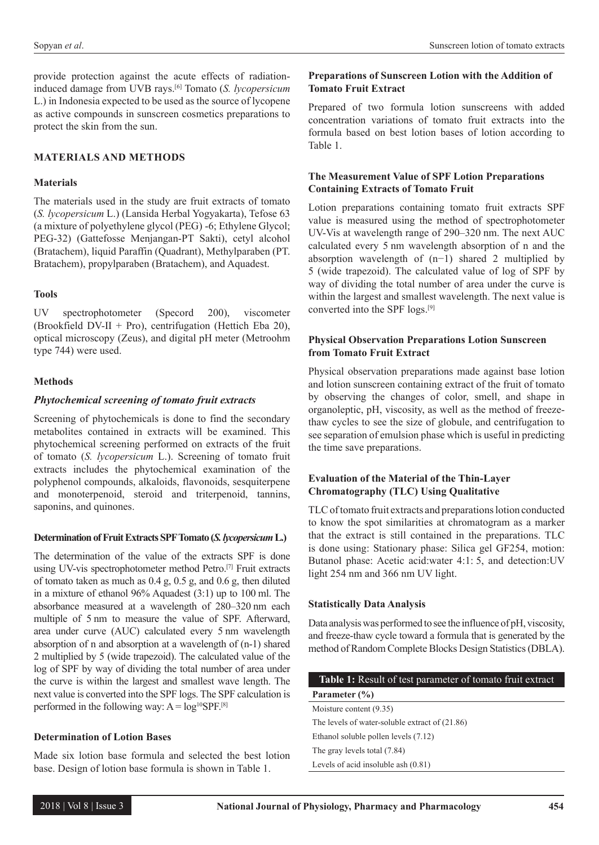provide protection against the acute effects of radiationinduced damage from UVB rays.[6] Tomato (*S. lycopersicum* L.) in Indonesia expected to be used as the source of lycopene as active compounds in sunscreen cosmetics preparations to protect the skin from the sun.

#### **MATERIALS AND METHODS**

#### **Materials**

The materials used in the study are fruit extracts of tomato (*S. lycopersicum* L.) (Lansida Herbal Yogyakarta), Tefose 63 (a mixture of polyethylene glycol (PEG) -6; Ethylene Glycol; PEG-32) (Gattefosse Menjangan-PT Sakti), cetyl alcohol (Bratachem), liquid Paraffin (Quadrant), Methylparaben (PT. Bratachem), propylparaben (Bratachem), and Aquadest.

#### **Tools**

UV spectrophotometer (Specord 200), viscometer (Brookfield DV-II + Pro), centrifugation (Hettich Eba 20), optical microscopy (Zeus), and digital pH meter (Metroohm type 744) were used.

#### **Methods**

#### *Phytochemical screening of tomato fruit extracts*

Screening of phytochemicals is done to find the secondary metabolites contained in extracts will be examined. This phytochemical screening performed on extracts of the fruit of tomato (*S. lycopersicum* L.). Screening of tomato fruit extracts includes the phytochemical examination of the polyphenol compounds, alkaloids, flavonoids, sesquiterpene and monoterpenoid, steroid and triterpenoid, tannins, saponins, and quinones.

#### **Determination of Fruit Extracts SPF Tomato (***S. lycopersicum* **L.)**

The determination of the value of the extracts SPF is done using UV-vis spectrophotometer method Petro.<sup>[7]</sup> Fruit extracts of tomato taken as much as 0.4 g, 0.5 g, and 0.6 g, then diluted in a mixture of ethanol 96% Aquadest (3:1) up to 100 ml. The absorbance measured at a wavelength of 280–320 nm each multiple of 5 nm to measure the value of SPF. Afterward, area under curve (AUC) calculated every 5 nm wavelength absorption of n and absorption at a wavelength of (n-1) shared 2 multiplied by 5 (wide trapezoid). The calculated value of the log of SPF by way of dividing the total number of area under the curve is within the largest and smallest wave length. The next value is converted into the SPF logs. The SPF calculation is performed in the following way:  $A = log^{10}SPF$ .<sup>[8]</sup>

#### **Determination of Lotion Bases**

Made six lotion base formula and selected the best lotion base. Design of lotion base formula is shown in Table 1.

#### **Preparations of Sunscreen Lotion with the Addition of Tomato Fruit Extract**

Prepared of two formula lotion sunscreens with added concentration variations of tomato fruit extracts into the formula based on best lotion bases of lotion according to Table 1.

#### **The Measurement Value of SPF Lotion Preparations Containing Extracts of Tomato Fruit**

Lotion preparations containing tomato fruit extracts SPF value is measured using the method of spectrophotometer UV-Vis at wavelength range of 290–320 nm. The next AUC calculated every 5 nm wavelength absorption of n and the absorption wavelength of (n−1) shared 2 multiplied by 5 (wide trapezoid). The calculated value of log of SPF by way of dividing the total number of area under the curve is within the largest and smallest wavelength. The next value is converted into the SPF logs.[9]

#### **Physical Observation Preparations Lotion Sunscreen from Tomato Fruit Extract**

Physical observation preparations made against base lotion and lotion sunscreen containing extract of the fruit of tomato by observing the changes of color, smell, and shape in organoleptic, pH, viscosity, as well as the method of freezethaw cycles to see the size of globule, and centrifugation to see separation of emulsion phase which is useful in predicting the time save preparations.

#### **Evaluation of the Material of the Thin-Layer Chromatography (TLC) Using Qualitative**

TLC of tomato fruit extracts and preparations lotion conducted to know the spot similarities at chromatogram as a marker that the extract is still contained in the preparations. TLC is done using: Stationary phase: Silica gel GF254, motion: Butanol phase: Acetic acid:water 4:1: 5, and detection:UV light 254 nm and 366 nm UV light.

## **Statistically Data Analysis**

Data analysis was performed to see the influence of pH, viscosity, and freeze-thaw cycle toward a formula that is generated by the method of Random Complete Blocks Design Statistics (DBLA).

| <b>Table 1:</b> Result of test parameter of tomato fruit extract |
|------------------------------------------------------------------|
| Parameter $(\% )$                                                |
| Moisture content (9.35)                                          |
| The levels of water-soluble extract of $(21.86)$                 |
| Ethanol soluble pollen levels (7.12)                             |
| The gray levels total (7.84)                                     |
| Levels of acid insoluble ash $(0.81)$                            |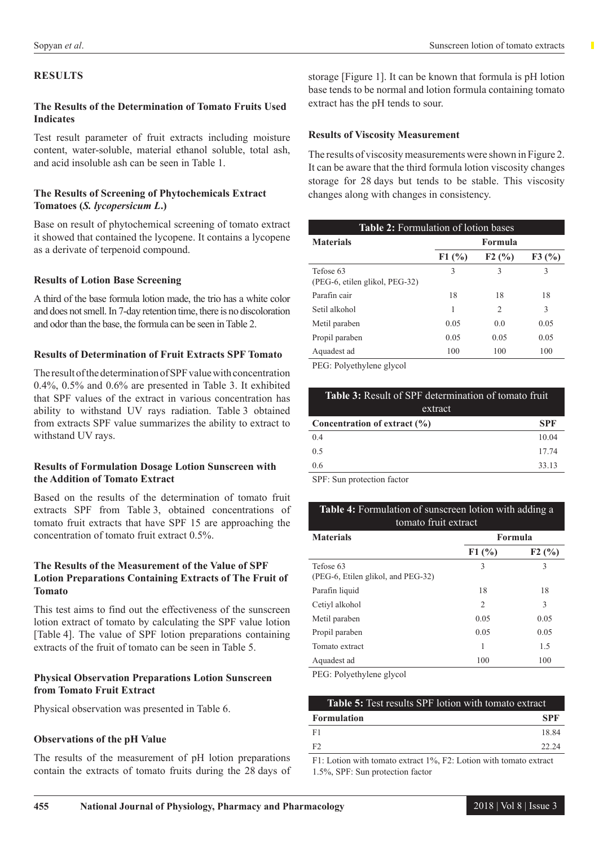## **RESULTS**

#### **The Results of the Determination of Tomato Fruits Used Indicates**

Test result parameter of fruit extracts including moisture content, water-soluble, material ethanol soluble, total ash, and acid insoluble ash can be seen in Table 1.

#### **The Results of Screening of Phytochemicals Extract Tomatoes (***S. lycopersicum L***.)**

Base on result of phytochemical screening of tomato extract it showed that contained the lycopene. It contains a lycopene as a derivate of terpenoid compound.

## **Results of Lotion Base Screening**

A third of the base formula lotion made, the trio has a white color and does not smell. In 7-day retention time, there is no discoloration and odor than the base, the formula can be seen in Table 2.

#### **Results of Determination of Fruit Extracts SPF Tomato**

The result of the determination of SPF value with concentration 0.4%, 0.5% and 0.6% are presented in Table 3. It exhibited that SPF values of the extract in various concentration has ability to withstand UV rays radiation. Table 3 obtained from extracts SPF value summarizes the ability to extract to withstand UV rays.

#### **Results of Formulation Dosage Lotion Sunscreen with the Addition of Tomato Extract**

Based on the results of the determination of tomato fruit extracts SPF from Table 3, obtained concentrations of tomato fruit extracts that have SPF 15 are approaching the concentration of tomato fruit extract 0.5%.

## **The Results of the Measurement of the Value of SPF Lotion Preparations Containing Extracts of The Fruit of Tomato**

This test aims to find out the effectiveness of the sunscreen lotion extract of tomato by calculating the SPF value lotion [Table 4]. The value of SPF lotion preparations containing extracts of the fruit of tomato can be seen in Table 5.

## **Physical Observation Preparations Lotion Sunscreen from Tomato Fruit Extract**

Physical observation was presented in Table 6.

#### **Observations of the pH Value**

The results of the measurement of pH lotion preparations contain the extracts of tomato fruits during the 28 days of

storage [Figure 1]. It can be known that formula is pH lotion base tends to be normal and lotion formula containing tomato extract has the pH tends to sour.

#### **Results of Viscosity Measurement**

The results of viscosity measurements were shown in Figure 2. It can be aware that the third formula lotion viscosity changes storage for 28 days but tends to be stable. This viscosity changes along with changes in consistency.

| <b>Table 2:</b> Formulation of lotion bases |                |                |       |
|---------------------------------------------|----------------|----------------|-------|
| <b>Materials</b>                            | <b>Formula</b> |                |       |
|                                             | F1(%)          | F2(%)          | F3(%) |
| Tefose 63<br>(PEG-6, etilen glikol, PEG-32) | 3              | 3              | 3     |
| Parafin cair                                | 18             | 18             | 18    |
| Setil alkohol                               | 1              | $\mathfrak{D}$ | 3     |
| Metil paraben                               | 0.05           | 0.0            | 0.05  |
| Propil paraben                              | 0.05           | 0.05           | 0.05  |
| Aquadest ad                                 | 100            | 100            | 100   |

PEG: Polyethylene glycol

| <b>Table 3:</b> Result of SPF determination of tomato fruit |            |  |
|-------------------------------------------------------------|------------|--|
| extract                                                     |            |  |
| Concentration of extract $(\% )$                            | <b>SPF</b> |  |
| 04                                                          | 10.04      |  |
| 0 <sub>5</sub>                                              | 17 74      |  |
| 0.6                                                         | 33 13      |  |
|                                                             |            |  |

SPF: Sun protection factor

## **Table 4:** Formulation of sunscreen lotion with adding a tomato fruit extract

| <b>Materials</b>                                | Formula        |       |
|-------------------------------------------------|----------------|-------|
|                                                 | F1(%)          | F2(%) |
| Tefose 63<br>(PEG-6, Etilen glikol, and PEG-32) | 3              | 3     |
| Parafin liquid                                  | 18             | 18    |
| Cetiyl alkohol                                  | $\overline{2}$ | 3     |
| Metil paraben                                   | 0.05           | 0.05  |
| Propil paraben                                  | 0.05           | 0.05  |
| Tomato extract                                  | 1              | 1.5   |
| Aquadest ad                                     | 100            | 100   |

PEG: Polyethylene glycol

| <b>Table 5:</b> Test results SPF lotion with tomato extract |            |  |
|-------------------------------------------------------------|------------|--|
| <b>Formulation</b>                                          | <b>SPF</b> |  |
| - F1                                                        | 18.84      |  |
| F2                                                          | 22.24      |  |
| .                                                           |            |  |

F1: Lotion with tomato extract 1%, F2: Lotion with tomato extract 1.5%, SPF: Sun protection factor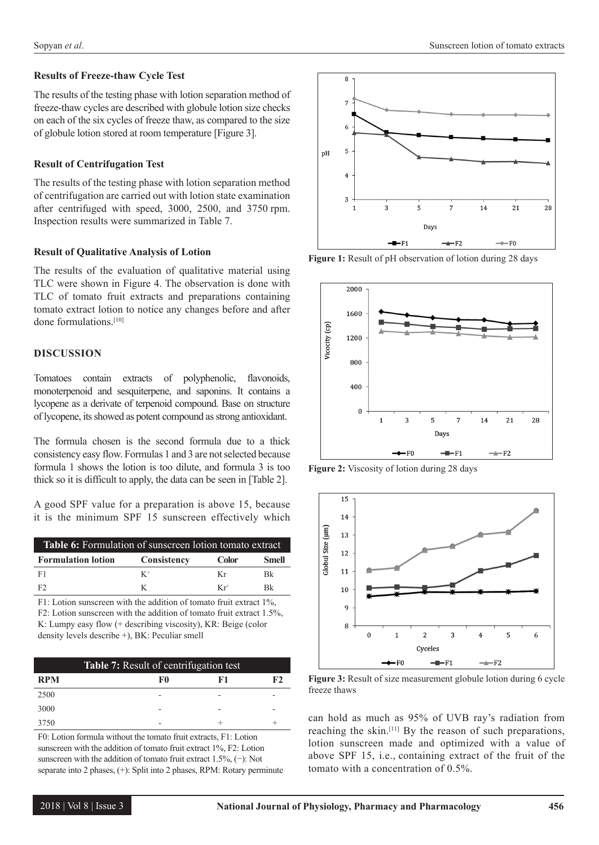# **Results of Freeze-thaw Cycle Test**

The results of the testing phase with lotion separation method of freeze-thaw cycles are described with globule lotion size checks on each of the six cycles of freeze thaw, as compared to the size of globule lotion stored at room temperature [Figure 3].

# **Result of Centrifugation Test**

The results of the testing phase with lotion separation method of centrifugation are carried out with lotion state examination after centrifuged with speed, 3000, 2500, and 3750 rpm. Inspection results were summarized in Table 7.

# **Result of Qualitative Analysis of Lotion**

The results of the evaluation of qualitative material using TLC were shown in Figure 4. The observation is done with TLC of tomato fruit extracts and preparations containing tomato extract lotion to notice any changes before and after done formulations.[10]

# **DISCUSSION**

Tomatoes contain extracts of polyphenolic, flavonoids, monoterpenoid and sesquiterpene, and saponins. It contains a lycopene as a derivate of terpenoid compound. Base on structure of lycopene, its showed as potent compound as strong antioxidant.

The formula chosen is the second formula due to a thick consistency easy flow. Formulas 1 and 3 are not selected because formula 1 shows the lotion is too dilute, and formula 3 is too thick so it is difficult to apply, the data can be seen in [Table 2].

A good SPF value for a preparation is above 15, because it is the minimum SPF 15 sunscreen effectively which

| <b>Table 6:</b> Formulation of sunscreen lotion tomato extract |             |              |              |
|----------------------------------------------------------------|-------------|--------------|--------------|
| <b>Formulation lotion</b>                                      | Consistency | <b>Color</b> | <b>Smell</b> |
| - F 1                                                          | $K^+$       | K r          | Bk.          |
| F2                                                             |             | $Kr^+$       | Rk           |

F1: Lotion sunscreen with the addition of tomato fruit extract 1%, F2: Lotion sunscreen with the addition of tomato fruit extract 1.5%, K: Lumpy easy flow (+ describing viscosity), KR: Beige (color density levels describe +), BK: Peculiar smell

| <b>Table 7:</b> Result of centrifugation test |    |    |    |
|-----------------------------------------------|----|----|----|
| <b>RPM</b>                                    | F0 | F1 | F2 |
| 2500                                          |    |    |    |
| 3000                                          |    |    |    |
| 3750                                          |    |    |    |

F0: Lotion formula without the tomato fruit extracts, F1: Lotion sunscreen with the addition of tomato fruit extract 1%, F2: Lotion sunscreen with the addition of tomato fruit extract 1.5%, (−): Not separate into 2 phases, (+): Split into 2 phases, RPM: Rotary perminute



**Figure 1:** Result of pH observation of lotion during 28 days



**Figure 2:** Viscosity of lotion during 28 days



**Figure 3:** Result of size measurement globule lotion during 6 cycle freeze thaws

can hold as much as 95% of UVB ray's radiation from reaching the skin.[11] By the reason of such preparations, lotion sunscreen made and optimized with a value of above SPF 15, i.e., containing extract of the fruit of the tomato with a concentration of 0.5%.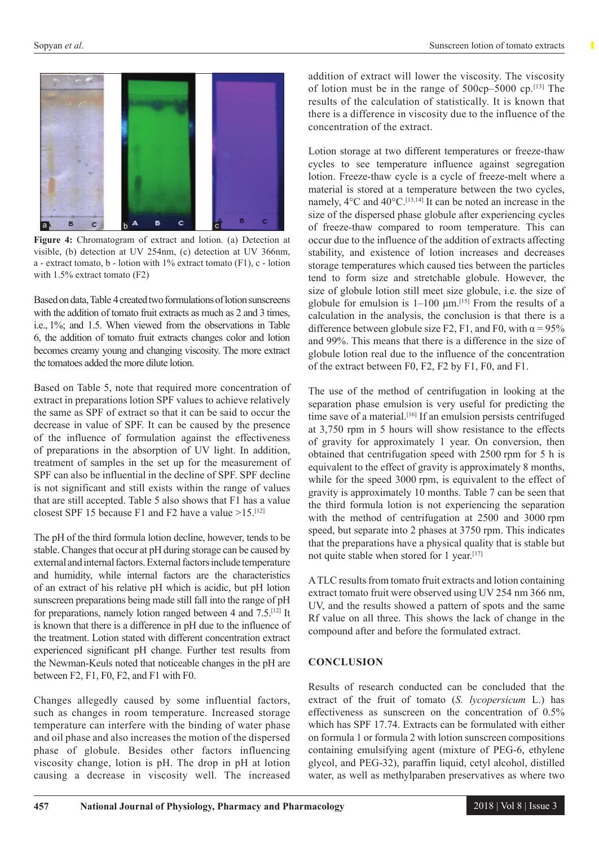

**Figure 4:** Chromatogram of extract and lotion. (a) Detection at visible, (b) detection at UV 254nm, (c) detection at UV 366nm, a - extract tomato, b - lotion with 1% extract tomato (F1), c - lotion with 1.5% extract tomato (F2)

Based on data, Table 4 created two formulations of lotion sunscreens with the addition of tomato fruit extracts as much as 2 and 3 times, i.e., 1%; and 1.5. When viewed from the observations in Table 6, the addition of tomato fruit extracts changes color and lotion becomes creamy young and changing viscosity. The more extract the tomatoes added the more dilute lotion.

Based on Table 5, note that required more concentration of extract in preparations lotion SPF values to achieve relatively the same as SPF of extract so that it can be said to occur the decrease in value of SPF. It can be caused by the presence of the influence of formulation against the effectiveness of preparations in the absorption of UV light. In addition, treatment of samples in the set up for the measurement of SPF can also be influential in the decline of SPF. SPF decline is not significant and still exists within the range of values that are still accepted. Table 5 also shows that F1 has a value closest SPF 15 because F1 and F2 have a value  $>15$ .<sup>[12]</sup>

The pH of the third formula lotion decline, however, tends to be stable. Changes that occur at pH during storage can be caused by external and internal factors. External factors include temperature and humidity, while internal factors are the characteristics of an extract of his relative pH which is acidic, but pH lotion sunscreen preparations being made still fall into the range of pH for preparations, namely lotion ranged between 4 and 7.5.[12] It is known that there is a difference in pH due to the influence of the treatment. Lotion stated with different concentration extract experienced significant pH change. Further test results from the Newman-Keuls noted that noticeable changes in the pH are between F2, F1, F0, F2, and F1 with F0.

Changes allegedly caused by some influential factors, such as changes in room temperature. Increased storage temperature can interfere with the binding of water phase and oil phase and also increases the motion of the dispersed phase of globule. Besides other factors influencing viscosity change, lotion is pH. The drop in pH at lotion causing a decrease in viscosity well. The increased

addition of extract will lower the viscosity. The viscosity of lotion must be in the range of 500cp–5000 cp.[13] The results of the calculation of statistically. It is known that there is a difference in viscosity due to the influence of the concentration of the extract.

Lotion storage at two different temperatures or freeze-thaw cycles to see temperature influence against segregation lotion. Freeze-thaw cycle is a cycle of freeze-melt where a material is stored at a temperature between the two cycles, namely,  $4^{\circ}$ C and  $40^{\circ}$ C.<sup>[13,14]</sup> It can be noted an increase in the size of the dispersed phase globule after experiencing cycles of freeze-thaw compared to room temperature. This can occur due to the influence of the addition of extracts affecting stability, and existence of lotion increases and decreases storage temperatures which caused ties between the particles tend to form size and stretchable globule. However, the size of globule lotion still meet size globule, i.e. the size of globule for emulsion is  $1-100 \mu m$ .<sup>[15]</sup> From the results of a calculation in the analysis, the conclusion is that there is a difference between globule size F2, F1, and F0, with  $\alpha = 95\%$ and 99%. This means that there is a difference in the size of globule lotion real due to the influence of the concentration of the extract between F0, F2, F2 by F1, F0, and F1.

The use of the method of centrifugation in looking at the separation phase emulsion is very useful for predicting the time save of a material.<sup>[16]</sup> If an emulsion persists centrifuged at 3,750 rpm in 5 hours will show resistance to the effects of gravity for approximately 1 year. On conversion, then obtained that centrifugation speed with 2500 rpm for 5 h is equivalent to the effect of gravity is approximately 8 months, while for the speed 3000 rpm, is equivalent to the effect of gravity is approximately 10 months. Table 7 can be seen that the third formula lotion is not experiencing the separation with the method of centrifugation at 2500 and 3000 rpm speed, but separate into 2 phases at 3750 rpm. This indicates that the preparations have a physical quality that is stable but not quite stable when stored for 1 year.<sup>[17]</sup>

A TLC results from tomato fruit extracts and lotion containing extract tomato fruit were observed using UV 254 nm 366 nm, UV, and the results showed a pattern of spots and the same Rf value on all three. This shows the lack of change in the compound after and before the formulated extract.

## **CONCLUSION**

Results of research conducted can be concluded that the extract of the fruit of tomato (*S. lycopersicum* L.) has effectiveness as sunscreen on the concentration of 0.5% which has SPF 17.74. Extracts can be formulated with either on formula 1 or formula 2 with lotion sunscreen compositions containing emulsifying agent (mixture of PEG-6, ethylene glycol, and PEG-32), paraffin liquid, cetyl alcohol, distilled water, as well as methylparaben preservatives as where two